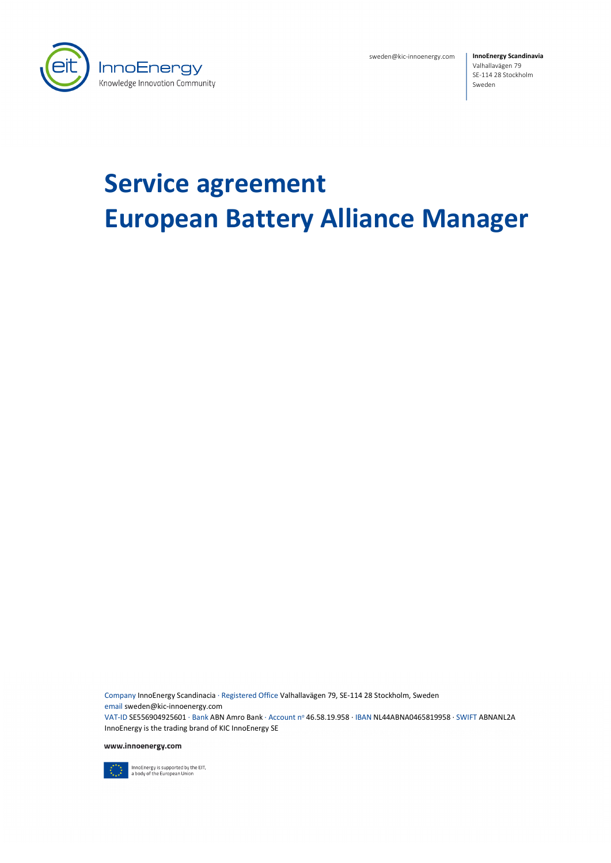

sweden@kic-innoenergy.com

**InnoEnergy Scandinavia** Valhallavägen 79 SE-114 28 Stockholm Sweden

# **Service agreement European Battery Alliance Manager**

Company InnoEnergy Scandinacia · Registered Office Valhallavägen 79, SE-114 28 Stockholm, Sweden email sweden@kic-innoenergy.com VAT-ID SE556904925601 · Bank ABN Amro Bank · Account nº 46.58.19.958 · IBAN NL44ABNA0465819958 · SWIFT ABNANL2A InnoEnergy is the trading brand of KIC InnoEnergy SE

www.innoenergy.com



InnoEnergy is supported by the EIT,<br>a body of the European Union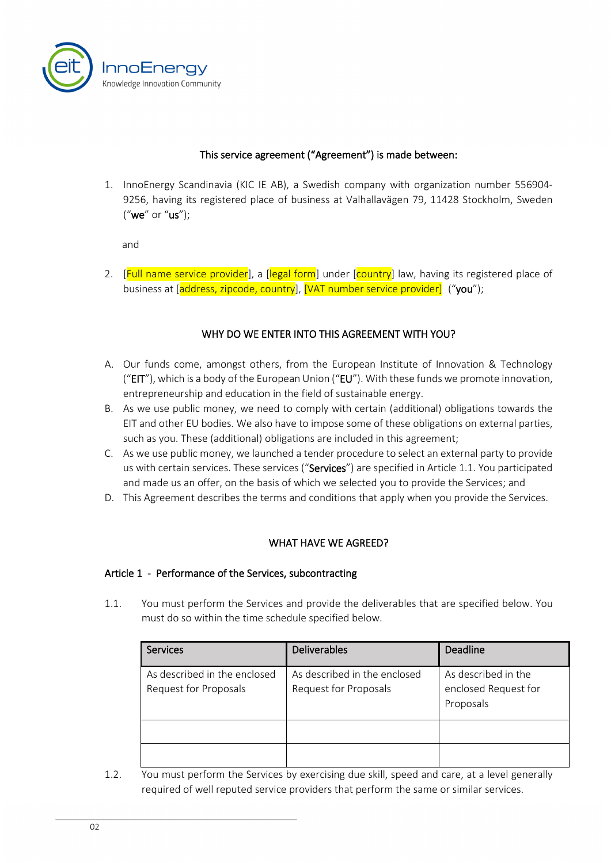

#### This service agreement ("Agreement") is made between:

1. InnoEnergy Scandinavia (KIC IE AB), a Swedish company with organization number 556904- 9256, having its registered place of business at Valhallavägen 79, 11428 Stockholm, Sweden ("we" or "us");

and

2. [Full name service provider], a [legal form] under [country] law, having its registered place of business at [address, zipcode, country], [VAT number service provider] ("you");

#### WHY DO WE ENTER INTO THIS AGREEMENT WITH YOU?

- A. Our funds come, amongst others, from the European Institute of Innovation & Technology (" $EIT$ "), which is a body of the European Union (" $EU$ "). With these funds we promote innovation, entrepreneurship and education in the field of sustainable energy.
- B. As we use public money, we need to comply with certain (additional) obligations towards the EIT and other EU bodies. We also have to impose some of these obligations on external parties, such as you. These (additional) obligations are included in this agreement;
- C. As we use public money, we launched a tender procedure to select an external party to provide us with certain services. These services ("Services") are specified in Article [1.1.](#page-1-0) You participated and made us an offer, on the basis of which we selected you to provide the Services; and
- D. This Agreement describes the terms and conditions that apply when you provide the Services.

#### WHAT HAVE WE AGREED?

#### Article 1 - Performance of the Services, subcontracting

<span id="page-1-0"></span>1.1. You must perform the Services and provide the deliverables that are specified below. You must do so within the time schedule specified below.

| <b>Services</b>                                       | <b>Deliverables</b>                                   | <b>Deadline</b>                                          |
|-------------------------------------------------------|-------------------------------------------------------|----------------------------------------------------------|
| As described in the enclosed<br>Request for Proposals | As described in the enclosed<br>Request for Proposals | As described in the<br>enclosed Request for<br>Proposals |
|                                                       |                                                       |                                                          |
|                                                       |                                                       |                                                          |

1.2. You must perform the Services by exercising due skill, speed and care, at a level generally required of well reputed service providers that perform the same or similar services.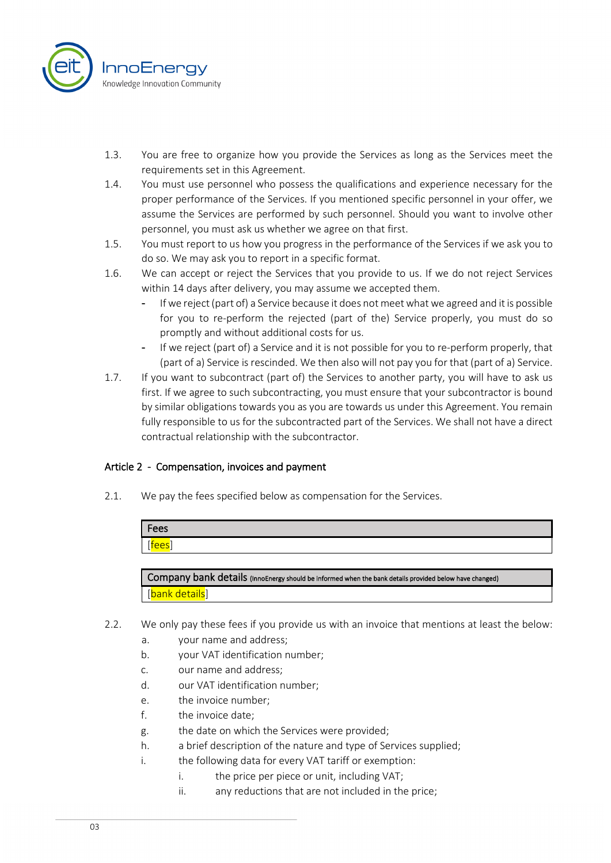

- 1.3. You are free to organize how you provide the Services as long as the Services meet the requirements set in this Agreement.
- 1.4. You must use personnel who possess the qualifications and experience necessary for the proper performance of the Services. If you mentioned specific personnel in your offer, we assume the Services are performed by such personnel. Should you want to involve other personnel, you must ask us whether we agree on that first.
- 1.5. You must report to us how you progress in the performance of the Services if we ask you to do so. We may ask you to report in a specific format.
- 1.6. We can accept or reject the Services that you provide to us. If we do not reject Services within 14 days after delivery, you may assume we accepted them.
	- If we reject (part of) a Service because it does not meet what we agreed and it is possible for you to re-perform the rejected (part of the) Service properly, you must do so promptly and without additional costs for us.
	- If we reject (part of) a Service and it is not possible for you to re-perform properly, that (part of a) Service is rescinded. We then also will not pay you for that (part of a) Service.
- 1.7. If you want to subcontract (part of) the Services to another party, you will have to ask us first. If we agree to such subcontracting, you must ensure that your subcontractor is bound by similar obligations towards you as you are towards us under this Agreement. You remain fully responsible to us for the subcontracted part of the Services. We shall not have a direct contractual relationship with the subcontractor.

## Article 2 - Compensation, invoices and payment

2.1. We pay the fees specified below as compensation for the Services.

| 'Fees                              |  |
|------------------------------------|--|
| $\sim$ $\sim$ $\sim$<br><b>CC2</b> |  |

Company bank details (InnoEnergy should be informed when the bank details provided below have changed) [bank details]

- 2.2. We only pay these fees if you provide us with an invoice that mentions at least the below:
	- a. your name and address;
	- b. your VAT identification number;
	- c. our name and address;
	- d. our VAT identification number;
	- e. the invoice number;
	- f. the invoice date;
	- g. the date on which the Services were provided;
	- h. a brief description of the nature and type of Services supplied;
	- i. the following data for every VAT tariff or exemption:
		- i. the price per piece or unit, including VAT;
		- ii. any reductions that are not included in the price;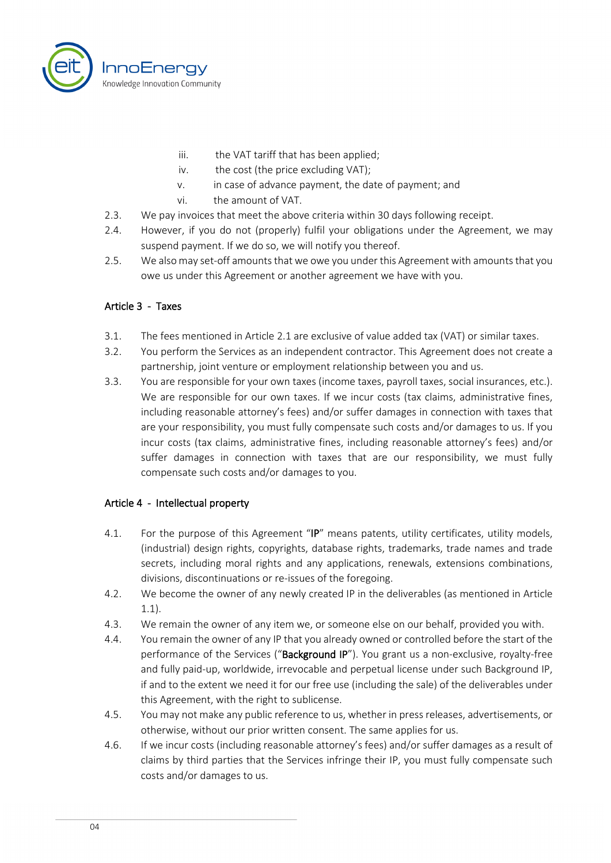

- iii. the VAT tariff that has been applied;
- iv. the cost (the price excluding VAT);
- v. in case of advance payment, the date of payment; and
- vi. the amount of VAT.
- 2.3. We pay invoices that meet the above criteria within 30 days following receipt.
- 2.4. However, if you do not (properly) fulfil your obligations under the Agreement, we may suspend payment. If we do so, we will notify you thereof.
- 2.5. We also may set-off amounts that we owe you under this Agreement with amounts that you owe us under this Agreement or another agreement we have with you.

#### Article 3 - Taxes

- 3.1. The fees mentioned in Article 2.1 are exclusive of value added tax (VAT) or similar taxes.
- 3.2. You perform the Services as an independent contractor. This Agreement does not create a partnership, joint venture or employment relationship between you and us.
- 3.3. You are responsible for your own taxes (income taxes, payroll taxes, social insurances, etc.). We are responsible for our own taxes. If we incur costs (tax claims, administrative fines, including reasonable attorney's fees) and/or suffer damages in connection with taxes that are your responsibility, you must fully compensate such costs and/or damages to us. If you incur costs (tax claims, administrative fines, including reasonable attorney's fees) and/or suffer damages in connection with taxes that are our responsibility, we must fully compensate such costs and/or damages to you.

#### Article 4 - Intellectual property

- 4.1. For the purpose of this Agreement "IP" means patents, utility certificates, utility models, (industrial) design rights, copyrights, database rights, trademarks, trade names and trade secrets, including moral rights and any applications, renewals, extensions combinations, divisions, discontinuations or re-issues of the foregoing.
- 4.2. We become the owner of any newly created IP in the deliverables (as mentioned in Article 1.1).
- 4.3. We remain the owner of any item we, or someone else on our behalf, provided you with.
- 4.4. You remain the owner of any IP that you already owned or controlled before the start of the performance of the Services ("Background IP"). You grant us a non-exclusive, royalty-free and fully paid-up, worldwide, irrevocable and perpetual license under such Background IP, if and to the extent we need it for our free use (including the sale) of the deliverables under this Agreement, with the right to sublicense.
- 4.5. You may not make any public reference to us, whether in press releases, advertisements, or otherwise, without our prior written consent. The same applies for us.
- 4.6. If we incur costs (including reasonable attorney's fees) and/or suffer damages as a result of claims by third parties that the Services infringe their IP, you must fully compensate such costs and/or damages to us.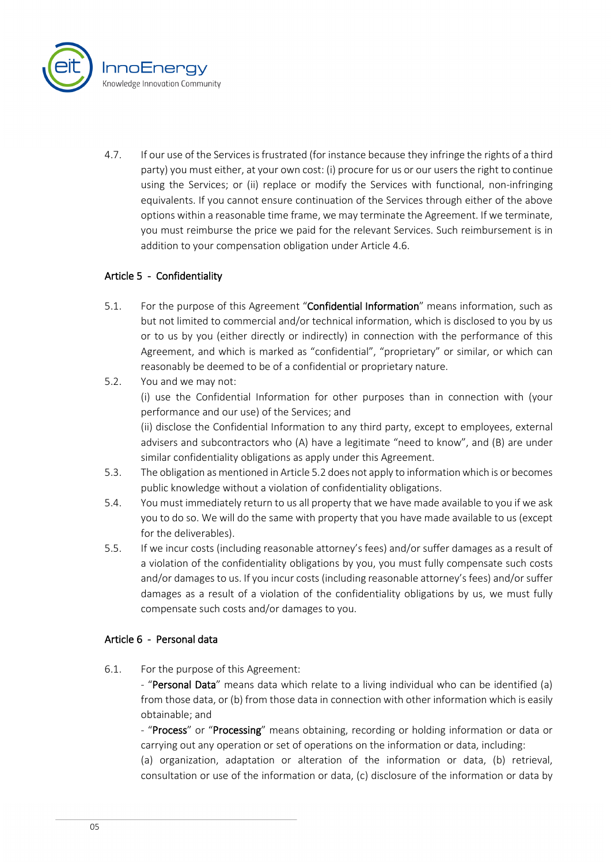

4.7. If our use of the Services isfrustrated (for instance because they infringe the rights of a third party) you must either, at your own cost: (i) procure for us or our users the right to continue using the Services; or (ii) replace or modify the Services with functional, non-infringing equivalents. If you cannot ensure continuation of the Services through either of the above options within a reasonable time frame, we may terminate the Agreement. If we terminate, you must reimburse the price we paid for the relevant Services. Such reimbursement is in addition to your compensation obligation under Article 4.6.

## Article 5 - Confidentiality

- 5.1. For the purpose of this Agreement "Confidential Information" means information, such as but not limited to commercial and/or technical information, which is disclosed to you by us or to us by you (either directly or indirectly) in connection with the performance of this Agreement, and which is marked as "confidential", "proprietary" or similar, or which can reasonably be deemed to be of a confidential or proprietary nature.
- 5.2. You and we may not: (i) use the Confidential Information for other purposes than in connection with (your performance and our use) of the Services; and (ii) disclose the Confidential Information to any third party, except to employees, external advisers and subcontractors who (A) have a legitimate "need to know", and (B) are under similar confidentiality obligations as apply under this Agreement.
- 5.3. The obligation as mentioned in Article 5.2 does not apply to information which is or becomes public knowledge without a violation of confidentiality obligations.
- 5.4. You must immediately return to us all property that we have made available to you if we ask you to do so. We will do the same with property that you have made available to us (except for the deliverables).
- 5.5. If we incur costs (including reasonable attorney's fees) and/or suffer damages as a result of a violation of the confidentiality obligations by you, you must fully compensate such costs and/or damages to us. If you incur costs (including reasonable attorney's fees) and/or suffer damages as a result of a violation of the confidentiality obligations by us, we must fully compensate such costs and/or damages to you.

## Article 6 - Personal data

6.1. For the purpose of this Agreement:

- "Personal Data" means data which relate to a living individual who can be identified (a) from those data, or (b) from those data in connection with other information which is easily obtainable; and

- "Process" or "Processing" means obtaining, recording or holding information or data or carrying out any operation or set of operations on the information or data, including:

(a) organization, adaptation or alteration of the information or data, (b) retrieval, consultation or use of the information or data, (c) disclosure of the information or data by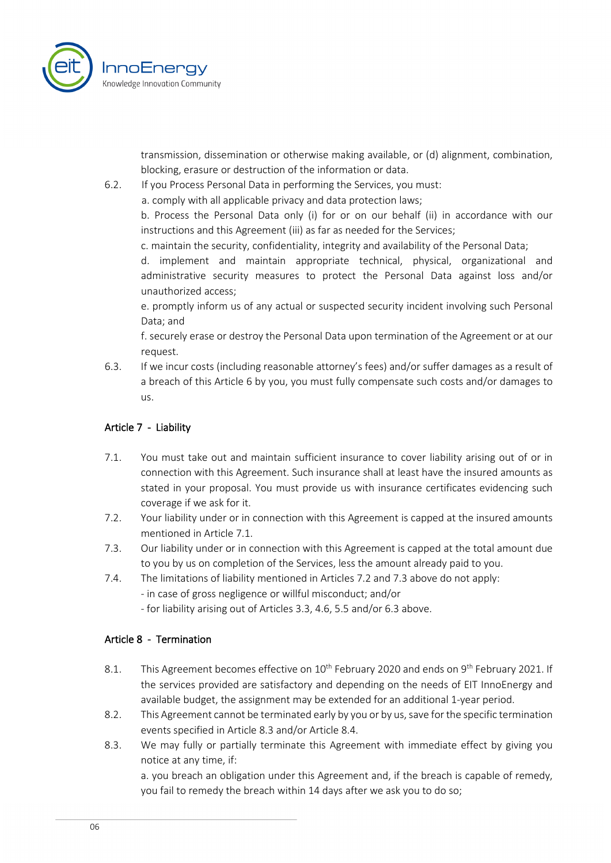

transmission, dissemination or otherwise making available, or (d) alignment, combination, blocking, erasure or destruction of the information or data.

6.2. If you Process Personal Data in performing the Services, you must:

a. comply with all applicable privacy and data protection laws;

b. Process the Personal Data only (i) for or on our behalf (ii) in accordance with our instructions and this Agreement (iii) as far as needed for the Services;

c. maintain the security, confidentiality, integrity and availability of the Personal Data;

d. implement and maintain appropriate technical, physical, organizational and administrative security measures to protect the Personal Data against loss and/or unauthorized access;

e. promptly inform us of any actual or suspected security incident involving such Personal Data; and

f. securely erase or destroy the Personal Data upon termination of the Agreement or at our request.

6.3. If we incur costs (including reasonable attorney's fees) and/or suffer damages as a result of a breach of this Article 6 by you, you must fully compensate such costs and/or damages to us.

## Article 7 - Liability

- 7.1. You must take out and maintain sufficient insurance to cover liability arising out of or in connection with this Agreement. Such insurance shall at least have the insured amounts as stated in your proposal. You must provide us with insurance certificates evidencing such coverage if we ask for it.
- 7.2. Your liability under or in connection with this Agreement is capped at the insured amounts mentioned in Article 7.1.
- 7.3. Our liability under or in connection with this Agreement is capped at the total amount due to you by us on completion of the Services, less the amount already paid to you.
- 7.4. The limitations of liability mentioned in Articles 7.2 and 7.3 above do not apply:
	- in case of gross negligence or willful misconduct; and/or
	- for liability arising out of Articles 3.3, 4.6, 5.5 and/or 6.3 above.

## Article 8 - Termination

- 8.1. This Agreement becomes effective on 10<sup>th</sup> February 2020 and ends on 9<sup>th</sup> February 2021. If the services provided are satisfactory and depending on the needs of EIT InnoEnergy and available budget, the assignment may be extended for an additional 1-year period.
- 8.2. This Agreement cannot be terminated early by you or by us, save for the specific termination events specified in Article 8.3 and/or Article 8.4.
- 8.3. We may fully or partially terminate this Agreement with immediate effect by giving you notice at any time, if:

a. you breach an obligation under this Agreement and, if the breach is capable of remedy, you fail to remedy the breach within 14 days after we ask you to do so;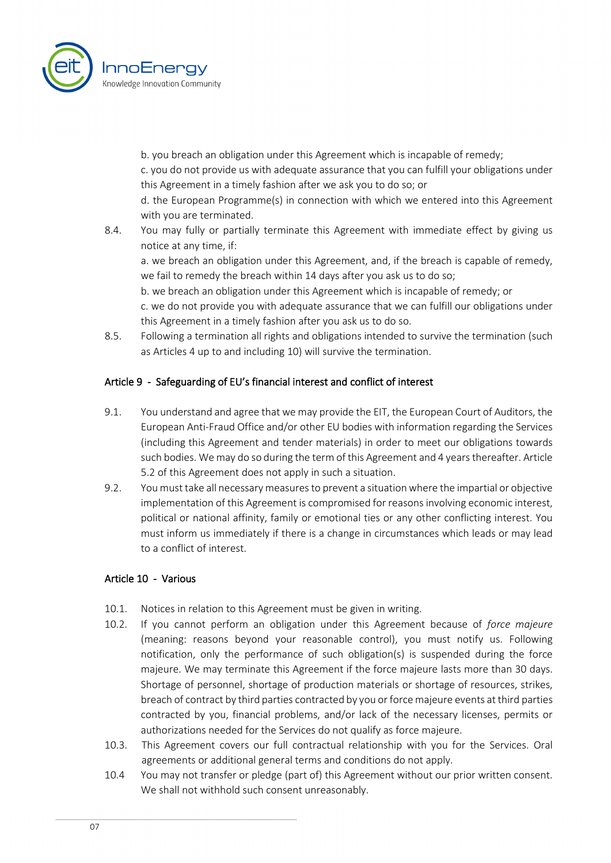

b. you breach an obligation under this Agreement which is incapable of remedy;

c. you do not provide us with adequate assurance that you can fulfill your obligations under this Agreement in a timely fashion after we ask you to do so; or

d. the European Programme(s) in connection with which we entered into this Agreement with you are terminated.

8.4. You may fully or partially terminate this Agreement with immediate effect by giving us notice at any time, if:

a. we breach an obligation under this Agreement, and, if the breach is capable of remedy, we fail to remedy the breach within 14 days after you ask us to do so;

b. we breach an obligation under this Agreement which is incapable of remedy; or

c. we do not provide you with adequate assurance that we can fulfill our obligations under this Agreement in a timely fashion after you ask us to do so.

8.5. Following a termination all rights and obligations intended to survive the termination (such as Articles 4 up to and including 10) will survive the termination.

# Article 9 - Safeguarding of EU's financial interest and conflict of interest

- 9.1. You understand and agree that we may provide the EIT, the European Court of Auditors, the European Anti-Fraud Office and/or other EU bodies with information regarding the Services (including this Agreement and tender materials) in order to meet our obligations towards such bodies. We may do so during the term of this Agreement and 4 years thereafter. Article 5.2 of this Agreement does not apply in such a situation.
- 9.2. You must take all necessary measures to prevent a situation where the impartial or objective implementation of this Agreement is compromised for reasons involving economic interest, political or national affinity, family or emotional ties or any other conflicting interest. You must inform us immediately if there is a change in circumstances which leads or may lead to a conflict of interest.

## Article 10 - Various

- 10.1. Notices in relation to this Agreement must be given in writing.
- 10.2. If you cannot perform an obligation under this Agreement because of *force majeure* (meaning: reasons beyond your reasonable control), you must notify us. Following notification, only the performance of such obligation(s) is suspended during the force majeure. We may terminate this Agreement if the force majeure lasts more than 30 days. Shortage of personnel, shortage of production materials or shortage of resources, strikes, breach of contract by third parties contracted by you or force majeure events at third parties contracted by you, financial problems, and/or lack of the necessary licenses, permits or authorizations needed for the Services do not qualify as force majeure.
- 10.3. This Agreement covers our full contractual relationship with you for the Services. Oral agreements or additional general terms and conditions do not apply.
- 10.4 You may not transfer or pledge (part of) this Agreement without our prior written consent. We shall not withhold such consent unreasonably.